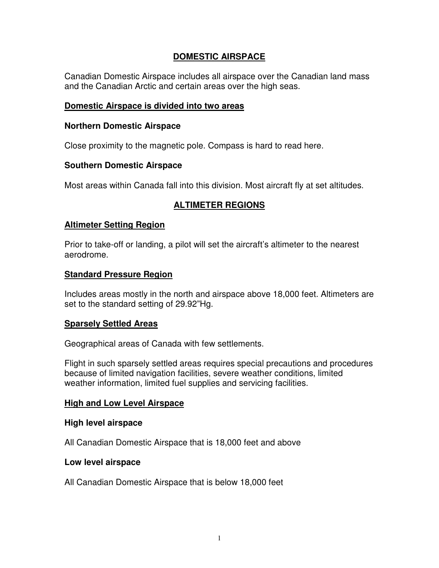## **DOMESTIC AIRSPACE**

Canadian Domestic Airspace includes all airspace over the Canadian land mass and the Canadian Arctic and certain areas over the high seas.

#### **Domestic Airspace is divided into two areas**

#### **Northern Domestic Airspace**

Close proximity to the magnetic pole. Compass is hard to read here.

### **Southern Domestic Airspace**

Most areas within Canada fall into this division. Most aircraft fly at set altitudes.

# **ALTIMETER REGIONS**

### **Altimeter Setting Region**

Prior to take-off or landing, a pilot will set the aircraft's altimeter to the nearest aerodrome.

### **Standard Pressure Region**

Includes areas mostly in the north and airspace above 18,000 feet. Altimeters are set to the standard setting of 29.92"Hg.

#### **Sparsely Settled Areas**

Geographical areas of Canada with few settlements.

Flight in such sparsely settled areas requires special precautions and procedures because of limited navigation facilities, severe weather conditions, limited weather information, limited fuel supplies and servicing facilities.

#### **High and Low Level Airspace**

#### **High level airspace**

All Canadian Domestic Airspace that is 18,000 feet and above

#### **Low level airspace**

All Canadian Domestic Airspace that is below 18,000 feet